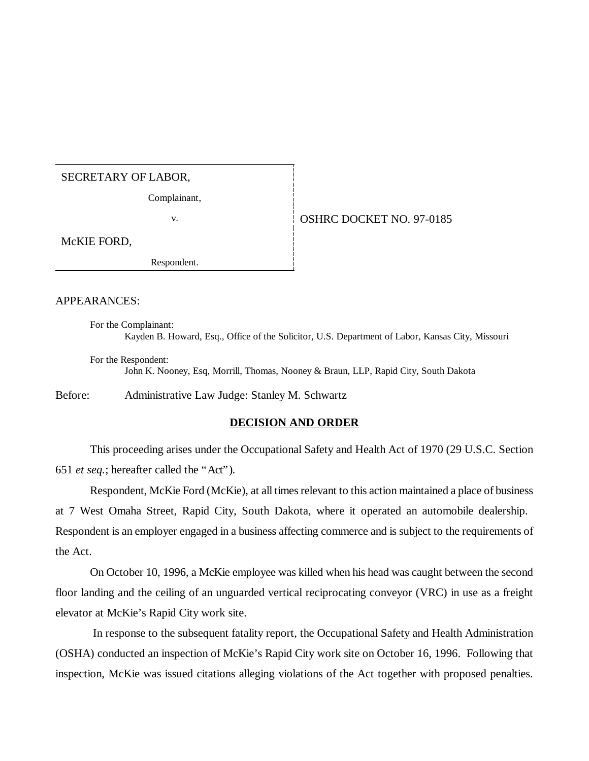## SECRETARY OF LABOR,

Complainant,

## v. **CONSERVEY 1991-0185**

McKIE FORD,

Respondent.

## APPEARANCES:

For the Complainant: Kayden B. Howard, Esq., Office of the Solicitor, U.S. Department of Labor, Kansas City, Missouri

For the Respondent: John K. Nooney, Esq, Morrill, Thomas, Nooney & Braun, LLP, Rapid City, South Dakota

Before: Administrative Law Judge: Stanley M. Schwartz

## **DECISION AND ORDER**

This proceeding arises under the Occupational Safety and Health Act of 1970 (29 U.S.C. Section 651 *et seq.*; hereafter called the "Act").

Respondent, McKie Ford (McKie), at all times relevant to this action maintained a place of business at 7 West Omaha Street, Rapid City, South Dakota, where it operated an automobile dealership. Respondent is an employer engaged in a business affecting commerce and is subject to the requirements of the Act.

On October 10, 1996, a McKie employee was killed when his head was caught between the second floor landing and the ceiling of an unguarded vertical reciprocating conveyor (VRC) in use as a freight elevator at McKie's Rapid City work site.

 In response to the subsequent fatality report, the Occupational Safety and Health Administration (OSHA) conducted an inspection of McKie's Rapid City work site on October 16, 1996. Following that inspection, McKie was issued citations alleging violations of the Act together with proposed penalties.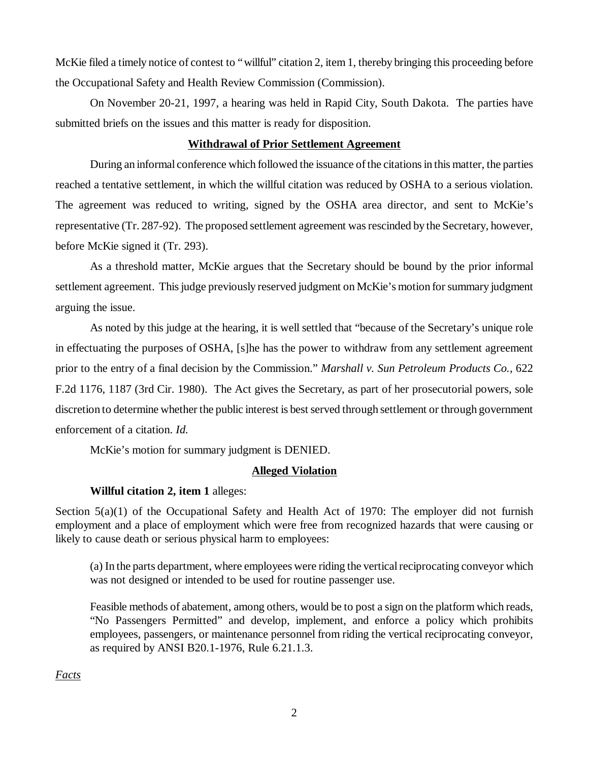McKie filed a timely notice of contest to "willful" citation 2, item 1, thereby bringing this proceeding before the Occupational Safety and Health Review Commission (Commission).

On November 20-21, 1997, a hearing was held in Rapid City, South Dakota. The parties have submitted briefs on the issues and this matter is ready for disposition.

## **Withdrawal of Prior Settlement Agreement**

During an informal conference which followed the issuance of the citations in this matter, the parties reached a tentative settlement, in which the willful citation was reduced by OSHA to a serious violation. The agreement was reduced to writing, signed by the OSHA area director, and sent to McKie's representative (Tr. 287-92). The proposed settlement agreement was rescinded by the Secretary, however, before McKie signed it (Tr. 293).

As a threshold matter, McKie argues that the Secretary should be bound by the prior informal settlement agreement. This judge previously reserved judgment on McKie's motion for summary judgment arguing the issue.

As noted by this judge at the hearing, it is well settled that "because of the Secretary's unique role in effectuating the purposes of OSHA, [s]he has the power to withdraw from any settlement agreement prior to the entry of a final decision by the Commission." *Marshall v. Sun Petroleum Products Co.*, 622 F.2d 1176, 1187 (3rd Cir. 1980). The Act gives the Secretary, as part of her prosecutorial powers, sole discretion to determine whether the public interest is best served through settlement or through government enforcement of a citation. *Id.*

McKie's motion for summary judgment is DENIED.

# **Alleged Violation**

## **Willful citation 2, item 1** alleges:

Section 5(a)(1) of the Occupational Safety and Health Act of 1970: The employer did not furnish employment and a place of employment which were free from recognized hazards that were causing or likely to cause death or serious physical harm to employees:

(a) In the parts department, where employees were riding the vertical reciprocating conveyor which was not designed or intended to be used for routine passenger use.

Feasible methods of abatement, among others, would be to post a sign on the platform which reads, "No Passengers Permitted" and develop, implement, and enforce a policy which prohibits employees, passengers, or maintenance personnel from riding the vertical reciprocating conveyor, as required by ANSI B20.1-1976, Rule 6.21.1.3.

*Facts*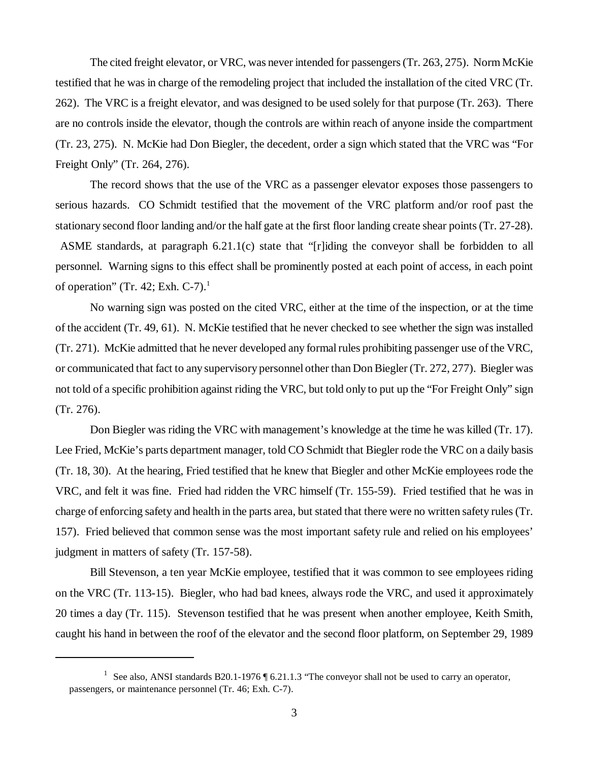The cited freight elevator, or VRC, was never intended for passengers (Tr. 263, 275). Norm McKie testified that he was in charge of the remodeling project that included the installation of the cited VRC (Tr. 262). The VRC is a freight elevator, and was designed to be used solely for that purpose (Tr. 263). There are no controls inside the elevator, though the controls are within reach of anyone inside the compartment (Tr. 23, 275). N. McKie had Don Biegler, the decedent, order a sign which stated that the VRC was "For Freight Only" (Tr. 264, 276).

The record shows that the use of the VRC as a passenger elevator exposes those passengers to serious hazards. CO Schmidt testified that the movement of the VRC platform and/or roof past the stationary second floor landing and/or the half gate at the first floor landing create shear points (Tr. 27-28).

 ASME standards, at paragraph 6.21.1(c) state that "[r]iding the conveyor shall be forbidden to all personnel. Warning signs to this effect shall be prominently posted at each point of access, in each point of operation" (Tr. 42; Exh.  $C-7$ ).<sup>1</sup>

No warning sign was posted on the cited VRC, either at the time of the inspection, or at the time of the accident (Tr. 49, 61). N. McKie testified that he never checked to see whether the sign was installed (Tr. 271). McKie admitted that he never developed any formal rules prohibiting passenger use of the VRC, or communicated that fact to any supervisory personnel other than Don Biegler (Tr. 272, 277). Biegler was not told of a specific prohibition against riding the VRC, but told only to put up the "For Freight Only" sign (Tr. 276).

Don Biegler was riding the VRC with management's knowledge at the time he was killed (Tr. 17). Lee Fried, McKie's parts department manager, told CO Schmidt that Biegler rode the VRC on a daily basis (Tr. 18, 30). At the hearing, Fried testified that he knew that Biegler and other McKie employees rode the VRC, and felt it was fine. Fried had ridden the VRC himself (Tr. 155-59). Fried testified that he was in charge of enforcing safety and health in the parts area, but stated that there were no written safety rules (Tr. 157). Fried believed that common sense was the most important safety rule and relied on his employees' judgment in matters of safety (Tr. 157-58).

Bill Stevenson, a ten year McKie employee, testified that it was common to see employees riding on the VRC (Tr. 113-15). Biegler, who had bad knees, always rode the VRC, and used it approximately 20 times a day (Tr. 115). Stevenson testified that he was present when another employee, Keith Smith, caught his hand in between the roof of the elevator and the second floor platform, on September 29, 1989

<sup>&</sup>lt;sup>1</sup> See also, ANSI standards B20.1-1976  $\sqrt{6}$  6.21.1.3 "The conveyor shall not be used to carry an operator, passengers, or maintenance personnel (Tr. 46; Exh. C-7).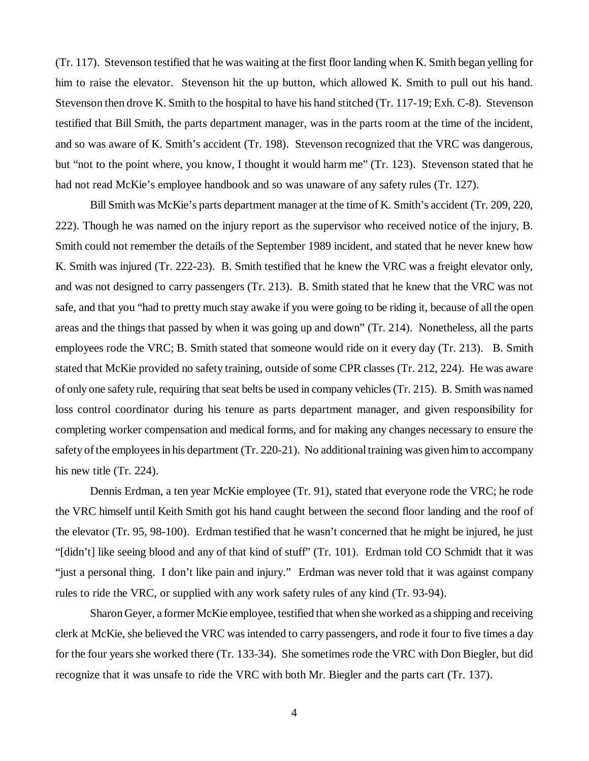(Tr. 117). Stevenson testified that he was waiting at the first floor landing when K. Smith began yelling for him to raise the elevator. Stevenson hit the up button, which allowed K. Smith to pull out his hand. Stevenson then drove K. Smith to the hospital to have his hand stitched (Tr. 117-19; Exh. C-8). Stevenson testified that Bill Smith, the parts department manager, was in the parts room at the time of the incident, and so was aware of K. Smith's accident (Tr. 198). Stevenson recognized that the VRC was dangerous, but "not to the point where, you know, I thought it would harm me" (Tr. 123). Stevenson stated that he had not read McKie's employee handbook and so was unaware of any safety rules (Tr. 127).

Bill Smith was McKie's parts department manager at the time of K. Smith's accident (Tr. 209, 220, 222). Though he was named on the injury report as the supervisor who received notice of the injury, B. Smith could not remember the details of the September 1989 incident, and stated that he never knew how K. Smith was injured (Tr. 222-23). B. Smith testified that he knew the VRC was a freight elevator only, and was not designed to carry passengers (Tr. 213). B. Smith stated that he knew that the VRC was not safe, and that you "had to pretty much stay awake if you were going to be riding it, because of all the open areas and the things that passed by when it was going up and down" (Tr. 214). Nonetheless, all the parts employees rode the VRC; B. Smith stated that someone would ride on it every day (Tr. 213). B. Smith stated that McKie provided no safety training, outside of some CPR classes (Tr. 212, 224). He was aware of only one safety rule, requiring that seat belts be used in company vehicles (Tr. 215). B. Smith was named loss control coordinator during his tenure as parts department manager, and given responsibility for completing worker compensation and medical forms, and for making any changes necessary to ensure the safety of the employees in his department (Tr. 220-21). No additional training was given him to accompany his new title (Tr. 224).

Dennis Erdman, a ten year McKie employee (Tr. 91), stated that everyone rode the VRC; he rode the VRC himself until Keith Smith got his hand caught between the second floor landing and the roof of the elevator (Tr. 95, 98-100). Erdman testified that he wasn't concerned that he might be injured, he just "[didn't] like seeing blood and any of that kind of stuff" (Tr. 101). Erdman told CO Schmidt that it was "just a personal thing. I don't like pain and injury." Erdman was never told that it was against company rules to ride the VRC, or supplied with any work safety rules of any kind (Tr. 93-94).

Sharon Geyer, a former McKie employee, testified that when she worked as a shipping and receiving clerk at McKie, she believed the VRC was intended to carry passengers, and rode it four to five times a day for the four years she worked there (Tr. 133-34). She sometimes rode the VRC with Don Biegler, but did recognize that it was unsafe to ride the VRC with both Mr. Biegler and the parts cart (Tr. 137).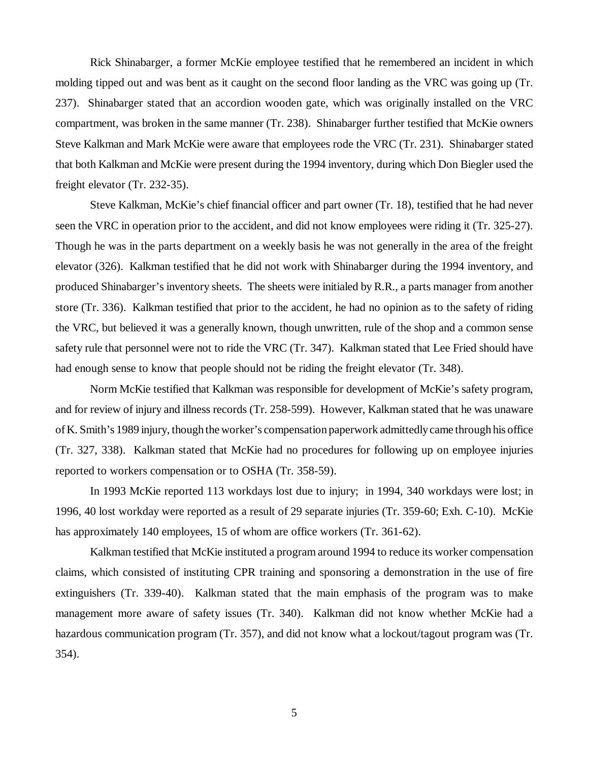Rick Shinabarger, a former McKie employee testified that he remembered an incident in which molding tipped out and was bent as it caught on the second floor landing as the VRC was going up (Tr. 237). Shinabarger stated that an accordion wooden gate, which was originally installed on the VRC compartment, was broken in the same manner (Tr. 238). Shinabarger further testified that McKie owners Steve Kalkman and Mark McKie were aware that employees rode the VRC (Tr. 231). Shinabarger stated that both Kalkman and McKie were present during the 1994 inventory, during which Don Biegler used the freight elevator (Tr. 232-35).

Steve Kalkman, McKie's chief financial officer and part owner (Tr. 18), testified that he had never seen the VRC in operation prior to the accident, and did not know employees were riding it (Tr. 325-27). Though he was in the parts department on a weekly basis he was not generally in the area of the freight elevator (326). Kalkman testified that he did not work with Shinabarger during the 1994 inventory, and produced Shinabarger's inventory sheets. The sheets were initialed by R.R., a parts manager from another store (Tr. 336). Kalkman testified that prior to the accident, he had no opinion as to the safety of riding the VRC, but believed it was a generally known, though unwritten, rule of the shop and a common sense safety rule that personnel were not to ride the VRC (Tr. 347). Kalkman stated that Lee Fried should have had enough sense to know that people should not be riding the freight elevator (Tr. 348).

Norm McKie testified that Kalkman was responsible for development of McKie's safety program, and for review of injury and illness records (Tr. 258-599). However, Kalkman stated that he was unaware of K. Smith's 1989 injury, though the worker's compensation paperwork admittedly came through his office (Tr. 327, 338). Kalkman stated that McKie had no procedures for following up on employee injuries reported to workers compensation or to OSHA (Tr. 358-59).

In 1993 McKie reported 113 workdays lost due to injury; in 1994, 340 workdays were lost; in 1996, 40 lost workday were reported as a result of 29 separate injuries (Tr. 359-60; Exh. C-10). McKie has approximately 140 employees, 15 of whom are office workers (Tr. 361-62).

Kalkman testified that McKie instituted a program around 1994 to reduce its worker compensation claims, which consisted of instituting CPR training and sponsoring a demonstration in the use of fire extinguishers (Tr. 339-40). Kalkman stated that the main emphasis of the program was to make management more aware of safety issues (Tr. 340). Kalkman did not know whether McKie had a hazardous communication program (Tr. 357), and did not know what a lockout/tagout program was (Tr. 354).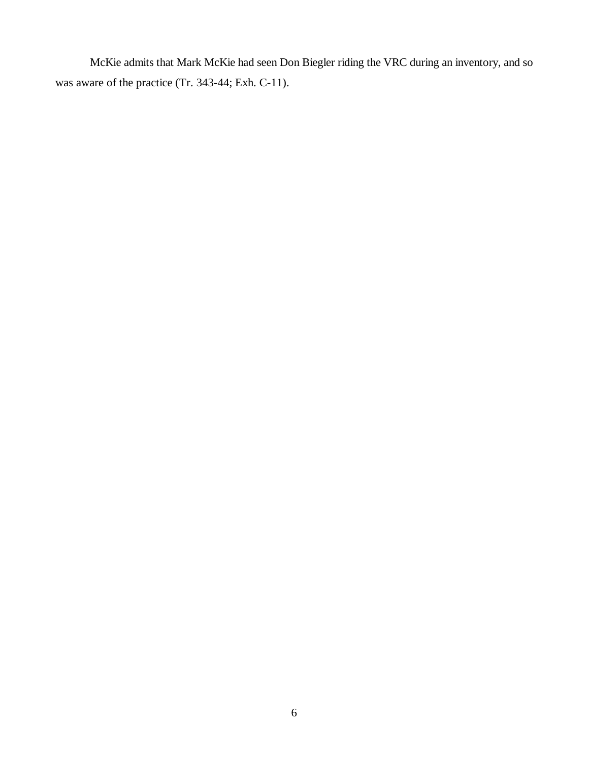McKie admits that Mark McKie had seen Don Biegler riding the VRC during an inventory, and so was aware of the practice (Tr. 343-44; Exh. C-11).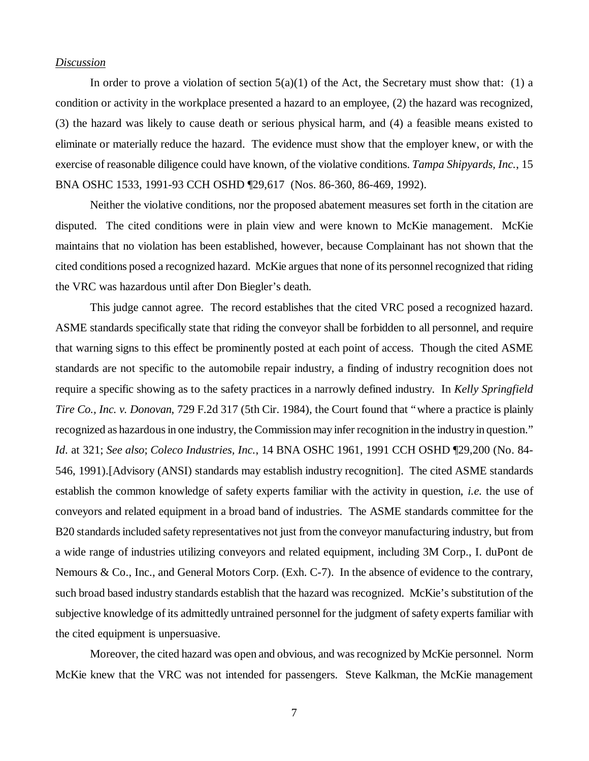#### *Discussion*

In order to prove a violation of section  $5(a)(1)$  of the Act, the Secretary must show that: (1) a condition or activity in the workplace presented a hazard to an employee, (2) the hazard was recognized, (3) the hazard was likely to cause death or serious physical harm, and (4) a feasible means existed to eliminate or materially reduce the hazard. The evidence must show that the employer knew, or with the exercise of reasonable diligence could have known, of the violative conditions. *Tampa Shipyards, Inc.*, 15 BNA OSHC 1533, 1991-93 CCH OSHD ¶29,617 (Nos. 86-360, 86-469, 1992).

Neither the violative conditions, nor the proposed abatement measures set forth in the citation are disputed. The cited conditions were in plain view and were known to McKie management. McKie maintains that no violation has been established, however, because Complainant has not shown that the cited conditions posed a recognized hazard. McKie argues that none of its personnel recognized that riding the VRC was hazardous until after Don Biegler's death.

This judge cannot agree. The record establishes that the cited VRC posed a recognized hazard. ASME standards specifically state that riding the conveyor shall be forbidden to all personnel, and require that warning signs to this effect be prominently posted at each point of access. Though the cited ASME standards are not specific to the automobile repair industry, a finding of industry recognition does not require a specific showing as to the safety practices in a narrowly defined industry. In *Kelly Springfield Tire Co., Inc. v. Donovan*, 729 F.2d 317 (5th Cir. 1984), the Court found that "where a practice is plainly recognized as hazardous in one industry, the Commission may infer recognition in the industry in question." *Id*. at 321; *See also*; *Coleco Industries, Inc.*, 14 BNA OSHC 1961, 1991 CCH OSHD ¶29,200 (No. 84- 546, 1991).[Advisory (ANSI) standards may establish industry recognition]. The cited ASME standards establish the common knowledge of safety experts familiar with the activity in question, *i.e.* the use of conveyors and related equipment in a broad band of industries. The ASME standards committee for the B20 standards included safety representatives not just from the conveyor manufacturing industry, but from a wide range of industries utilizing conveyors and related equipment, including 3M Corp., I. duPont de Nemours & Co., Inc., and General Motors Corp. (Exh. C-7). In the absence of evidence to the contrary, such broad based industry standards establish that the hazard was recognized. McKie's substitution of the subjective knowledge of its admittedly untrained personnel for the judgment of safety experts familiar with the cited equipment is unpersuasive.

Moreover, the cited hazard was open and obvious, and was recognized by McKie personnel. Norm McKie knew that the VRC was not intended for passengers. Steve Kalkman, the McKie management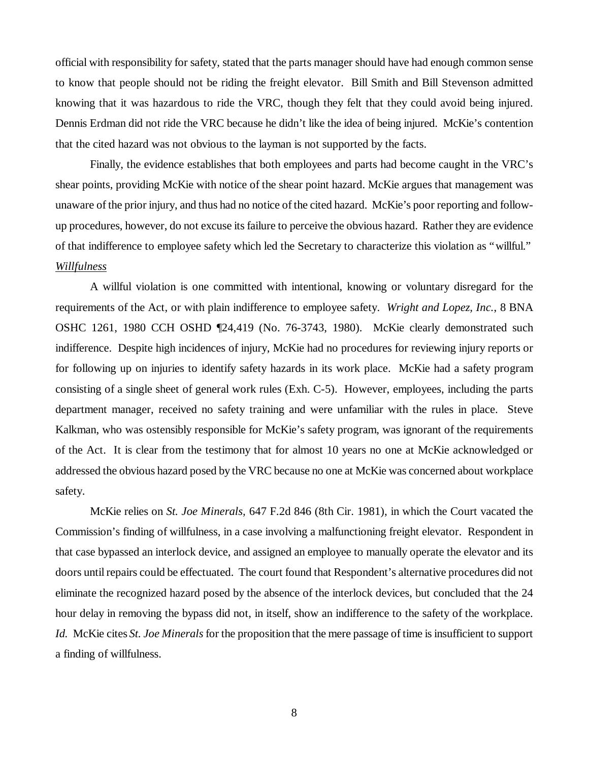official with responsibility for safety, stated that the parts manager should have had enough common sense to know that people should not be riding the freight elevator. Bill Smith and Bill Stevenson admitted knowing that it was hazardous to ride the VRC, though they felt that they could avoid being injured. Dennis Erdman did not ride the VRC because he didn't like the idea of being injured. McKie's contention that the cited hazard was not obvious to the layman is not supported by the facts.

Finally, the evidence establishes that both employees and parts had become caught in the VRC's shear points, providing McKie with notice of the shear point hazard. McKie argues that management was unaware of the prior injury, and thus had no notice of the cited hazard. McKie's poor reporting and followup procedures, however, do not excuse its failure to perceive the obvious hazard. Rather they are evidence of that indifference to employee safety which led the Secretary to characterize this violation as "willful." *Willfulness*

A willful violation is one committed with intentional, knowing or voluntary disregard for the requirements of the Act, or with plain indifference to employee safety. *Wright and Lopez, Inc.*, 8 BNA OSHC 1261, 1980 CCH OSHD ¶24,419 (No. 76-3743, 1980). McKie clearly demonstrated such indifference. Despite high incidences of injury, McKie had no procedures for reviewing injury reports or for following up on injuries to identify safety hazards in its work place. McKie had a safety program consisting of a single sheet of general work rules (Exh. C-5). However, employees, including the parts department manager, received no safety training and were unfamiliar with the rules in place. Steve Kalkman, who was ostensibly responsible for McKie's safety program, was ignorant of the requirements of the Act. It is clear from the testimony that for almost 10 years no one at McKie acknowledged or addressed the obvious hazard posed by the VRC because no one at McKie was concerned about workplace safety.

McKie relies on *St. Joe Minerals,* 647 F.2d 846 (8th Cir. 1981), in which the Court vacated the Commission's finding of willfulness, in a case involving a malfunctioning freight elevator. Respondent in that case bypassed an interlock device, and assigned an employee to manually operate the elevator and its doors until repairs could be effectuated. The court found that Respondent's alternative procedures did not eliminate the recognized hazard posed by the absence of the interlock devices, but concluded that the 24 hour delay in removing the bypass did not, in itself, show an indifference to the safety of the workplace. *Id.* McKie cites *St. Joe Minerals* for the proposition that the mere passage of time is insufficient to support a finding of willfulness.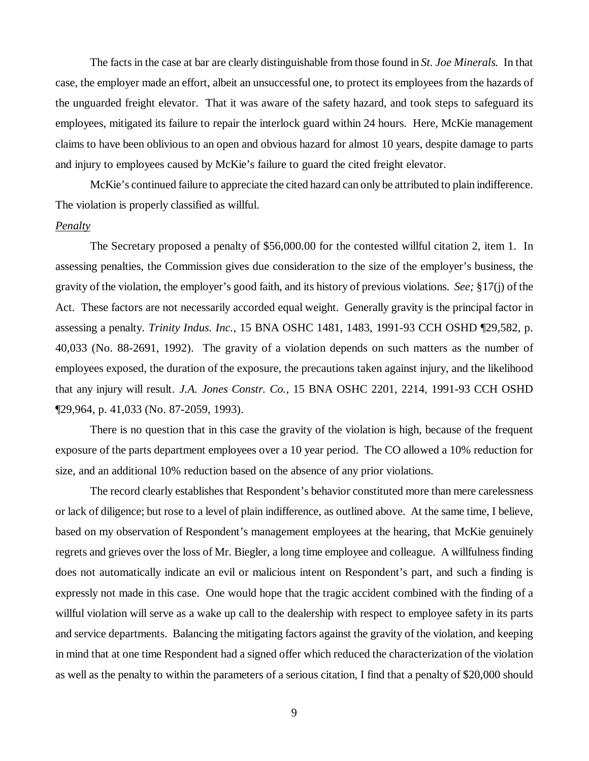The facts in the case at bar are clearly distinguishable from those found in *St. Joe Minerals.* In that case, the employer made an effort, albeit an unsuccessful one, to protect its employees from the hazards of the unguarded freight elevator. That it was aware of the safety hazard, and took steps to safeguard its employees, mitigated its failure to repair the interlock guard within 24 hours. Here, McKie management claims to have been oblivious to an open and obvious hazard for almost 10 years, despite damage to parts and injury to employees caused by McKie's failure to guard the cited freight elevator.

McKie's continued failure to appreciate the cited hazard can only be attributed to plain indifference. The violation is properly classified as willful.

#### *Penalty*

The Secretary proposed a penalty of \$56,000.00 for the contested willful citation 2, item 1. In assessing penalties, the Commission gives due consideration to the size of the employer's business, the gravity of the violation, the employer's good faith, and its history of previous violations. *See;* §17(j) of the Act. These factors are not necessarily accorded equal weight. Generally gravity is the principal factor in assessing a penalty. *Trinity Indus. Inc.*, 15 BNA OSHC 1481, 1483, 1991-93 CCH OSHD ¶29,582, p. 40,033 (No. 88-2691, 1992). The gravity of a violation depends on such matters as the number of employees exposed, the duration of the exposure, the precautions taken against injury, and the likelihood that any injury will result. *J.A. Jones Constr. Co.,* 15 BNA OSHC 2201, 2214, 1991-93 CCH OSHD ¶29,964, p. 41,033 (No. 87-2059, 1993).

There is no question that in this case the gravity of the violation is high, because of the frequent exposure of the parts department employees over a 10 year period. The CO allowed a 10% reduction for size, and an additional 10% reduction based on the absence of any prior violations.

The record clearly establishes that Respondent's behavior constituted more than mere carelessness or lack of diligence; but rose to a level of plain indifference, as outlined above. At the same time, I believe, based on my observation of Respondent's management employees at the hearing, that McKie genuinely regrets and grieves over the loss of Mr. Biegler, a long time employee and colleague. A willfulness finding does not automatically indicate an evil or malicious intent on Respondent's part, and such a finding is expressly not made in this case. One would hope that the tragic accident combined with the finding of a willful violation will serve as a wake up call to the dealership with respect to employee safety in its parts and service departments. Balancing the mitigating factors against the gravity of the violation, and keeping in mind that at one time Respondent had a signed offer which reduced the characterization of the violation as well as the penalty to within the parameters of a serious citation, I find that a penalty of \$20,000 should